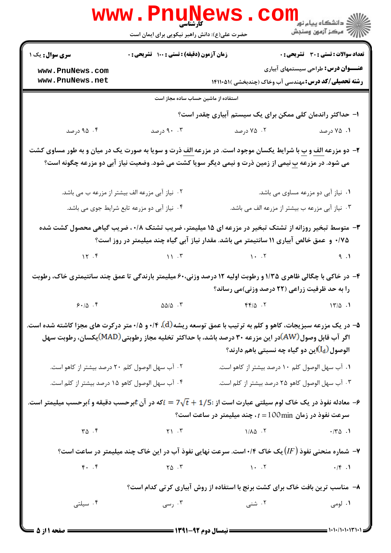|                                                                                                                                                                                                                                                                               | <b>WWW.PNUNEWS</b><br>کارشناسی<br>حضرت علی(ع): دانش راهبر نیکویی برای ایمان است |                                                                                                                             | دانشگاه پيام نور دارد.<br>۱۳۸۷ - مرکز آزمون وسنجش |
|-------------------------------------------------------------------------------------------------------------------------------------------------------------------------------------------------------------------------------------------------------------------------------|---------------------------------------------------------------------------------|-----------------------------------------------------------------------------------------------------------------------------|---------------------------------------------------|
| <b>سری سوال :</b> یک ۱                                                                                                                                                                                                                                                        | زمان آزمون (دقیقه) : تستی : ۱۰۰٪ تشریحی : ۰                                     |                                                                                                                             | <b>تعداد سوالات : تستی : 30 ٪ تشریحی : 0</b>      |
| www.PnuNews.com<br>www.PnuNews.net                                                                                                                                                                                                                                            |                                                                                 | <b>رشته تحصیلی/کد درس:</b> مهندسی آب وخاک (چندبخشی )۱۴۱۱۰۵۱۱                                                                | <b>عنـــوان درس:</b> طراحی سیستمهای آبیاری        |
|                                                                                                                                                                                                                                                                               | استفاده از ماشین حساب ساده مجاز است                                             |                                                                                                                             |                                                   |
|                                                                                                                                                                                                                                                                               |                                                                                 | ا– حداکثر راندمان کلی ممکن برای یک سیستم آبیاری چقدر است؟                                                                   |                                                   |
| ۰۴ درصد                                                                                                                                                                                                                                                                       | ۹۰ .۳ درصد                                                                      | ۰۲ درصد                                                                                                                     | ۰۱ ۷۵ درصد                                        |
| <b>۲</b> - دو مزرعه <u>الف</u> و <u>ب</u> با شرایط یکسان موجود است. در مزرعه <mark>الف</mark> ذرت و سویا به صورت یک در میان و به طور مساوی کشت<br>می شود. در مزرعه <u>ب</u> نیمی از زمین ذرت و نیمی دیگر سویا کشت می شود. وضعیت نیاز آبی دو مزرعه چگونه است؟                  |                                                                                 |                                                                                                                             |                                                   |
|                                                                                                                                                                                                                                                                               | ۰۲ نیاز آبی مزرعه الف بیشتر از مزرعه ب می باشد.                                 |                                                                                                                             | ۰۱ نیاز آبی دو مزرعه مساوی می باشد.               |
|                                                                                                                                                                                                                                                                               | ۰۴ نیاز آبی دو مزرعه تابع شرایط جوی می باشد.                                    | ۰۳ نیاز آبی مزرعه ب بیشتر از مزرعه الف می باشد.                                                                             |                                                   |
| ۳- متوسط تبخیر روزانه از تشتک تبخیر در مزرعه ای ۱۵ میلیمتر، ضریب تشتک ۰/۸، ضریب گیاهی محصول کشت شده<br>۰/۷۵ و عمق خالص آبیاری ۱۱ سانتیمتر می باشد. مقدار نیاز آبی گیاه چند میلیمتر در روز است؟                                                                                |                                                                                 |                                                                                                                             |                                                   |
|                                                                                                                                                                                                                                                                               |                                                                                 | 17.7                                                                                                                        | 9.1                                               |
| ۴- در خاکی با چگالی ظاهری ۱/۳۵ و رطوبت اولیه ۱۲ درصد وزنی۶۰۰ میلیمتر بارندگی تا عمق چند سانتیمتری خاک، رطوبت<br>را به حد ظرفیت زراعی (۲۲ درصد وزنی)می رساند؟                                                                                                                  |                                                                                 |                                                                                                                             |                                                   |
| 9.10.9                                                                                                                                                                                                                                                                        | $\Delta\Delta/\Delta$ .                                                         | $\mathfrak{f}\mathfrak{f}/\Delta$ . T and $\mathfrak{f}\mathfrak{f}/\Delta$ . T                                             |                                                   |
| ۵– در یک مزرعه سبزیجات، کاهو و کلم به ترتیب با عمق توسعه ریشه (d)، ۰/۴ و ۰/۵ متر درکرت های مجزا کاشته شده است.<br>اگر آب قابل وصول(AW)در این مزرعه ۳۰ درصد باشد، با حداکثر تخلیه مجاز رطوبتی(MAD)یکسان، رطوبت سهل<br>الوصول (I <sub>d</sub> )این دو گیاه چه نسبتی باهم دارند؟ |                                                                                 |                                                                                                                             |                                                   |
| ۰۲ آب سهل الوصول کلم ۲۰ درصد بیشتر از کاهو است.                                                                                                                                                                                                                               |                                                                                 | ۰۱ آب سهل الوصول کلم ۱۰ درصد بیشتر از کاهو است.                                                                             |                                                   |
| ۰۴ آب سهل الوصول كاهو ۱۵ درصد بيشتر از كلم است.                                                                                                                                                                                                                               |                                                                                 | ۰۳ آب سهل الوصول کاهو ۲۵ درصد بیشتر از کلم است.                                                                             |                                                   |
| سعادله نفوذ در یک خاک لوم سیلتی عبارت است از : $7\sqrt{t}+1/5$ = $i$ که در آن $t$ برحسب دقیقه و $i$ برحسب میلیمتر است. $\bm{\varphi}$<br>9 سرعت نفوذ در زمان $t = 100 \text{min}$ ، چند میلیمتر در ساعت است                                                                   |                                                                                 |                                                                                                                             |                                                   |
| $\mathbf{r} \Delta \cdot \mathbf{F}$                                                                                                                                                                                                                                          |                                                                                 | $Y1 \cdot Y$ $1/\lambda \Delta \cdot Y$ $1/\lambda \Delta \cdot Y$ $1/\lambda \Delta \cdot Y$                               |                                                   |
| ۰۷ شماره منحنی نفوذ (IF) یک خاک ۱۰/۴است. سرعت نهایی نفوذ آب در این خاک چند میلیمتر در ساعت است؟                                                                                                                                                                               |                                                                                 |                                                                                                                             |                                                   |
| $f.$ $f$                                                                                                                                                                                                                                                                      |                                                                                 | $\gamma \Delta \cdot \Upsilon$ $\gamma \Delta \cdot \Upsilon$ $\gamma \Delta \cdot \Upsilon$ $\gamma \Delta \cdot \Upsilon$ |                                                   |
| ۸– مناسب ترین بافت خاک برای کشت برنج با استفاده از روش آبیاری کرتی کدام است؟                                                                                                                                                                                                  |                                                                                 |                                                                                                                             |                                                   |
| ۰۴ سیلتی                                                                                                                                                                                                                                                                      | ۰۳ رسی $\cdot$                                                                  | ۲. شنی                                                                                                                      | ۰۱ لومی                                           |

 $= 1.1 - (1.1.17$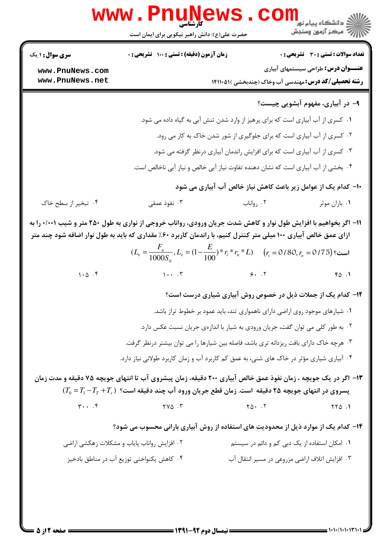| <b>سری سوال :</b> ۱ یک                                                                                                                                                                                                                | زمان آزمون (دقیقه) : تستی : ۱۰۰ تشریحی : ۰                                                                                                                |                                                                             | <b>تعداد سوالات : تستی : 30 ٪ تشریحی : 0</b><br><b>عنـــوان درس:</b> طراحی سیستمهای آبیاری |
|---------------------------------------------------------------------------------------------------------------------------------------------------------------------------------------------------------------------------------------|-----------------------------------------------------------------------------------------------------------------------------------------------------------|-----------------------------------------------------------------------------|--------------------------------------------------------------------------------------------|
| www.PnuNews.com<br>www.PnuNews.net                                                                                                                                                                                                    |                                                                                                                                                           | <b>رشته تحصیلی/کد درس:</b> مهندسی آب وخاک (چندبخشی )۱۴۱۱۰۵۱ <b>۱</b>        |                                                                                            |
|                                                                                                                                                                                                                                       |                                                                                                                                                           |                                                                             | ۹- در آبیاری، مفهوم آبشویی چیست؟                                                           |
|                                                                                                                                                                                                                                       |                                                                                                                                                           |                                                                             |                                                                                            |
|                                                                                                                                                                                                                                       | ۰۱ کسری از آب آبیاری است که برای پرهیز از وارد شدن تنش آبی به گیاه داده می شود.<br>۰۲ کسری از آب آبیاری است که برای جلوگیری از شور شدن خاک به کار می رود. |                                                                             |                                                                                            |
|                                                                                                                                                                                                                                       | ۰۳ کسری از آب آبیاری است که برای افزایش راندمان آبیاری درنظر گرفته می شود.                                                                                |                                                                             |                                                                                            |
|                                                                                                                                                                                                                                       | ۰۴ بخشی از آب آبیاری است که نشان دهنده تفاوت نیاز آبی خالص و نیاز آبی ناخالص است.                                                                         |                                                                             |                                                                                            |
|                                                                                                                                                                                                                                       |                                                                                                                                                           | ∙ا− کدام یک از عوامل زیر باعث کاهش نیاز خالص آب آبیاری می شود               |                                                                                            |
| ۰۴ تبخیر از سطح خاک                                                                                                                                                                                                                   | ۰۳ نفوذ عمقی                                                                                                                                              | ۰۲ رواناب                                                                   | ٠١. باران موثر                                                                             |
|                                                                                                                                                                                                                                       |                                                                                                                                                           |                                                                             |                                                                                            |
| ۱۱- اگر بخواهیم با افزایش طول نوار و کاهش شدت جریان ورودی، رواناب خروجی از نواری به طول ۲۵۰ متر و شیب ۰/۰۰۱ را به<br>ازای عمق خالص آبیاری ۱۰۰ میلی متر کنترل کنیم، با راندمان کاربرد ۶۰٪ مقداری که باید به طول نوار اضافه شود چند متر |                                                                                                                                                           |                                                                             |                                                                                            |
|                                                                                                                                                                                                                                       | $(L_e = \frac{F_n}{1000S_0}, L_e = (1 - \frac{E}{100})^* r_i^* r_n^* L)$ $(r_i = 0/80, r_i = 0/75)$ $\text{num}$                                          |                                                                             |                                                                                            |
| $1 \cdot \Delta$ .                                                                                                                                                                                                                    |                                                                                                                                                           |                                                                             | FA.1                                                                                       |
|                                                                                                                                                                                                                                       |                                                                                                                                                           | ۱۲- کدام یک از جملات ذیل در خصوص روش آبیاری شیاری درست است؟                 |                                                                                            |
|                                                                                                                                                                                                                                       |                                                                                                                                                           | ۰۱ شیارهای موجود روی اراضی دارای ناهمواری تند، باید عمود بر خطوط تراز باشد. |                                                                                            |
|                                                                                                                                                                                                                                       | ۰۲ به طور کلی می توان گفت، جریان ورودی به شیار با اندازهی جریان نسبت عکس دارد.                                                                            |                                                                             |                                                                                            |
|                                                                                                                                                                                                                                       | ۰۳ هرچه خاک دارای بافت ریزدانه تری باشد، فاصله بین شیارها را می توان بیشتر درنظر گرفت.                                                                    |                                                                             |                                                                                            |
|                                                                                                                                                                                                                                       | ۰۴ آبیاری شیاری مؤثر در خاک های شنی، به عمق کم کاربرد آب و زمان کاربرد طولانی نیاز دارد.                                                                  |                                                                             |                                                                                            |
|                                                                                                                                                                                                                                       | ۱۳- اگر در یک جویچه ، زمان نفوذ عمق خالص آبیاری ۲۰۰ دقیقه، زمان پیشروی آب تا انتهای جویچه ۷۵ دقیقه و مدت زمان                                             |                                                                             |                                                                                            |
|                                                                                                                                                                                                                                       | $(T_0 = T_1 - T_T + T_r)$ پسروی در انتهای جویچه ۲۵ دقیقه است. زمان قطع جریان ورود آب چند دقیقه است؟                                                       |                                                                             |                                                                                            |
| $\mathbf{y} \cdot \cdot \cdot \mathbf{f}$                                                                                                                                                                                             | $YV\Delta$ .                                                                                                                                              | $Y \Delta - .Y$                                                             | $YY\Delta$ .                                                                               |
|                                                                                                                                                                                                                                       | ۱۴- کدام یک از موارد ذیل از محدودیت های استفاده از روش آبیاری بارانی محسوب می شود؟                                                                        |                                                                             |                                                                                            |
|                                                                                                                                                                                                                                       | ۰۲ افزایش رواناب پایاب و مشکلات زهکشی اراضی                                                                                                               | ۰۱ امکان استفاده از یک دبی کم و دائم در سیستم                               |                                                                                            |
|                                                                                                                                                                                                                                       |                                                                                                                                                           |                                                                             |                                                                                            |
|                                                                                                                                                                                                                                       | ۰۴ كاهش يكنواختي توزيع آب در مناطق بادخيز                                                                                                                 | ۰۳ افزایش اتلاف اراضی مزروعی در مسیر انتقال آب                              |                                                                                            |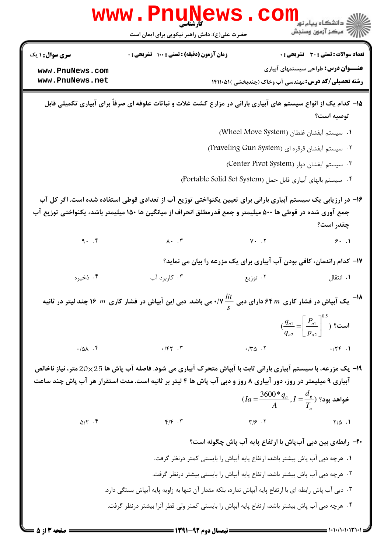|                        | <b>www.PnuNews</b>                                                                                                                                                                                                                      |                                                                        | ر<br><mark>گ</mark> دانشگاه پیام نور                                                 |
|------------------------|-----------------------------------------------------------------------------------------------------------------------------------------------------------------------------------------------------------------------------------------|------------------------------------------------------------------------|--------------------------------------------------------------------------------------|
|                        | حضرت علی(ع): دانش راهبر نیکویی برای ایمان است                                                                                                                                                                                           |                                                                        | أأزأت مركز آزمون وسنجش                                                               |
| <b>سری سوال : ۱ یک</b> | <b>زمان آزمون (دقیقه) : تستی : 100 تشریحی : 0</b>                                                                                                                                                                                       |                                                                        | <b>تعداد سوالات : تستی : 30 ٪ تشریحی : 0</b>                                         |
| www.PnuNews.com        |                                                                                                                                                                                                                                         |                                                                        | <b>عنـــوان درس:</b> طراحی سیستمهای آبیاری                                           |
| www.PnuNews.net        |                                                                                                                                                                                                                                         | <b>رشته تحصیلی/کد درس:</b> مهندسی آب وخاک (چندبخشی )۱۴۱۱۰۵۱            |                                                                                      |
|                        | ۱۵– کدام یک از انواع سیستم های آبیاری بارانی در مزارع کشت غلات و نباتات علوفه ای صرفاً برای آبیاری تکمیلی قابل                                                                                                                          |                                                                        | توصيه است؟                                                                           |
|                        |                                                                                                                                                                                                                                         | ا. سيستم آبفشان غلطان (Wheel Move System)                              |                                                                                      |
|                        |                                                                                                                                                                                                                                         | ۲. سیستم آبفشان قرقره ای (Traveling Gun System)                        |                                                                                      |
|                        |                                                                                                                                                                                                                                         | ۰۳ سیستم آبفشان دوار (Center Pivot System)                             |                                                                                      |
|                        |                                                                                                                                                                                                                                         | ۴. سیستم بالهای آبیاری قابل حمل (Portable Solid Set System)            |                                                                                      |
|                        | ۱۶– در ارزیابی یک سیستم آبیاری بارانی برای تعیین یکنواختی توزیع آب از تعدادی قوطی استفاده شده است. اگر کل آب<br>جمع آوری شده در قوطی ها ۵۰۰ میلیمتر و جمع قدرمطلق انحراف از میانگین ها ۱۵۰ میلیمتر باشد، یکنواختی توزیع آب              |                                                                        | چقدر است؟                                                                            |
| 9.7                    | $\lambda \cdot \cdot \cdot$ $\mathbf{r}$                                                                                                                                                                                                | $Y - Y$                                                                | 9.1                                                                                  |
|                        | <b>۱۷</b> - کدام راندمان، کافی بودن آب آبیاری برای یک مزرعه را بیان می نماید؟                                                                                                                                                           |                                                                        |                                                                                      |
| ۰۴ ذخیره               | ۰۳ کاربرد آب                                                                                                                                                                                                                            | ۰۲ توزیع                                                               | ۰۱ انتقال                                                                            |
|                        | له <sup>-1</sup> ۸ یک آبپاش در فشار کاری  ۶۴ <i>m د</i> ارای دبی $\frac{lit ۰/۷ می باشد. دبی این آبپاش در فشار کاری  m  ۱۶ چند لیتر در ثانیه$                                                                                           |                                                                        |                                                                                      |
|                        |                                                                                                                                                                                                                                         |                                                                        | $\left(\frac{q_{a1}}{q_{a2}} = \left[\frac{P_{a1}}{p_{a2}}\right]^{0.5}\right)$ است؟ |
| .701.9                 | $\cdot$ /۴۲ $\cdot$ $\cdot$ $\cdot$                                                                                                                                                                                                     | $\cdot$ /٣ $\Delta$ . ٢                                                | .756.1                                                                               |
|                        | <b>۱۹</b> - یک مزرعه، با سیستم آبیاری بارانی ثابت با آبپاش متحرک آبیاری می شود. فاصله آب پاش ها 25×20 متر، نیاز ناخالص<br>آبیاری ۹ میلیمتر در روز، دور آبیاری ۸ روز و دبی آب پاش ها ۴ لیتر بر ثانیه است. مدت استقرار هر آب پاش چند ساعت | $I_{a} = \frac{3600 * q_{a}}{A}, I = \frac{d_{g}}{T_{a}}$ خواهد بود؟ ( |                                                                                      |
| $\Delta/\Upsilon$ .    | $F/F$ .                                                                                                                                                                                                                                 | $Y/\mathcal{F}$ . Y                                                    | $Y/\Delta$ .                                                                         |
|                        |                                                                                                                                                                                                                                         | ۲۰- رابطهی بین دبی آبپاش با ارتفاع پایه آب پاش چگونه است؟              |                                                                                      |
|                        | ۰۱ هرچه دبی آب پاش بیشتر باشد، ارتفاع پایه آبپاش را بایستی کمتر درنظر گرفت.                                                                                                                                                             |                                                                        |                                                                                      |
|                        | ۲. هرچه دبی آب پاش بیشتر باشد، ارتفاع پایه آبپاش را بایستی بیشتر درنظر گرفت.                                                                                                                                                            |                                                                        |                                                                                      |
|                        | ۰۳ دبی آب پاش رابطه ای با ارتفاع پایه آبپاش ندارد، بلکه مقدار آن تنها به زاویه پایه آبپاش بستگی دارد.                                                                                                                                   |                                                                        |                                                                                      |
|                        | ۰۴ هرچه دبی آب پاش بیشتر باشد، ارتفاع پایه آبپاش را بایستی کمتر ولی قطر آنرا بیشتر درنظر گرفت.                                                                                                                                          |                                                                        |                                                                                      |

 $= 1.11/(1.11T)$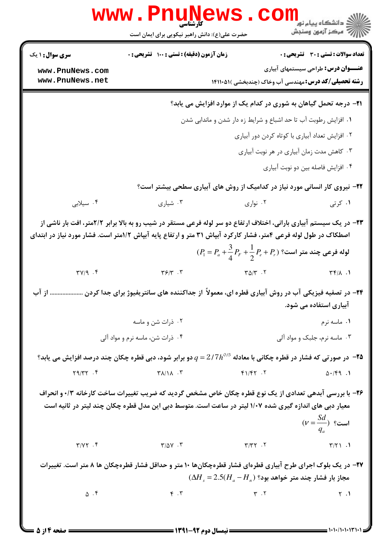|                                                                                                                                                                                                                                                                                                                       | www.PnuNews.<br>حضرت علی(ع): دانش راهبر نیکویی برای ایمان است                                                          |                                           | <sub>:</sub> دانشگاه پیام نو <mark>ر</mark><br>رآ مرکز آزمون وسنجش                                        |  |
|-----------------------------------------------------------------------------------------------------------------------------------------------------------------------------------------------------------------------------------------------------------------------------------------------------------------------|------------------------------------------------------------------------------------------------------------------------|-------------------------------------------|-----------------------------------------------------------------------------------------------------------|--|
| <b>سری سوال : ۱ یک</b>                                                                                                                                                                                                                                                                                                | <b>زمان آزمون (دقیقه) : تستی : 100 تشریحی : 0</b>                                                                      |                                           | تعداد سوالات : تستى : 30 قشريحى : 0                                                                       |  |
| www.PnuNews.com<br>www.PnuNews.net                                                                                                                                                                                                                                                                                    |                                                                                                                        |                                           | <b>عنـــوان درس:</b> طراحی سیستمهای آبیاری<br><b>رشته تحصیلی/کد درس:</b> مهندسی آب وخاک (چندبخشی )۵۱۱۰۵۱۱ |  |
|                                                                                                                                                                                                                                                                                                                       |                                                                                                                        |                                           | <b>۲۱</b> - درجه تحمل گیاهان به شوری در کدام یک از موارد افزایش می یابد؟                                  |  |
|                                                                                                                                                                                                                                                                                                                       |                                                                                                                        |                                           | ۰۱ افزایش رطوبت آب تا حد اشباع و شرایط زه دار شدن و ماندابی شدن                                           |  |
|                                                                                                                                                                                                                                                                                                                       |                                                                                                                        |                                           | ۰۲ افزایش تعداد آبیاری با کوتاه کردن دور آبیاری                                                           |  |
|                                                                                                                                                                                                                                                                                                                       |                                                                                                                        | ۰۳ کاهش مدت زمان آبیاری در هر نوبت آبیاری |                                                                                                           |  |
|                                                                                                                                                                                                                                                                                                                       |                                                                                                                        |                                           | ۰۴ افزایش فاصله بین دو نوبت آبیاری                                                                        |  |
|                                                                                                                                                                                                                                                                                                                       | ۲۲- نیروی کار انسانی مورد نیاز در کدامیک از روش های آبیاری سطحی بیشتر است؟                                             |                                           |                                                                                                           |  |
| ۰۴ سیلابی                                                                                                                                                                                                                                                                                                             | ۰۳ شیاری                                                                                                               | ۰۲ نواری                                  | ۰۱ کرتی                                                                                                   |  |
| ۲۳- در یک سیستم آبیاری بارانی، اختلاف ارتفاع دو سر لوله فرعی مستقر در شیب رو به بالا برابر ۲/۲متر، افت بار ناشی از<br>اصطکاک در طول لوله فرعی ۴متر، فشار کارکرد آبپاش ۳۱ متر و ارتفاع پایه آبپاش ۱/۲متر است. فشار مورد نیاز در ابتدای<br>$(P_1 = P_a + \frac{3}{4}P_r + \frac{1}{2}P_e + P_r)$ لوله فرعی چند متر است؟ |                                                                                                                        |                                           |                                                                                                           |  |
| $TY/q$ . ۴                                                                                                                                                                                                                                                                                                            | $\mathbf{Y}$ $\mathbf{S}/\mathbf{Y}$ .                                                                                 | $\Gamma \Delta/\Gamma$ .                  | $\uparrow\uparrow/\uparrow$ . 1                                                                           |  |
| از آب                                                                                                                                                                                                                                                                                                                 | ۲۴- در تصفیه فیزیکی آب در روش آبیاری قطره ای، معمولاً از جداکننده های سانتریفیوژ برای جدا کردن                         |                                           | آبیاری استفاده می شود.                                                                                    |  |
|                                                                                                                                                                                                                                                                                                                       | ۰۲ ذرات شن و ماسه                                                                                                      |                                           | ۰۱ ماسه نرم                                                                                               |  |
| ۰۴ ذرات شن، ماسه نرم و مواد آلی                                                                                                                                                                                                                                                                                       |                                                                                                                        | ۰۳ ماسه نرم، جلبک و مواد آلی              |                                                                                                           |  |
|                                                                                                                                                                                                                                                                                                                       | ه اس صورتی که فشار در قطره چکانی با معادله $q$ 1/7 $q$ = 2 دو برابر شود، دبی قطره چکان چند درصد افزایش می یابد $\cdot$ |                                           |                                                                                                           |  |
| $Y9/YY$ . $Y$                                                                                                                                                                                                                                                                                                         | $Y\lambda/\lambda$ . $Y$                                                                                               | F1/FY.7                                   | $\Delta$ ./۴9.1                                                                                           |  |
| ۲۶- با بررسی آبدهی تعدادی از یک نوع قطره چکان خاص مشخص گردید که ضریب تغییرات ساخت کارخانه ۰/۳ و انحراف<br>معیار دبی های اندازه گیری شده ۱/۰۷ لیتر در ساعت است. متوسط دبی این مدل قطره چکان چند لیتر در ثانیه است<br>$(\nu = \frac{Sd}{a})$ است؟                                                                       |                                                                                                                        |                                           |                                                                                                           |  |
| $\Upsilon/\Upsilon \Upsilon$ . $\Upsilon$                                                                                                                                                                                                                                                                             | $\Upsilon/\Delta V$ . $\Upsilon$                                                                                       | $Y/YY$ .                                  | $\uparrow/\uparrow$ 1.1                                                                                   |  |
| ۲۷– در یک بلوک اجرای طرح آبیاری قطرهای فشار قطرهچکانها ۱۰ متر و حداقل فشار قطرهچکان ها ۸ متر است. تغییرات<br>$(\Delta H_s = 2.5(H_a - H_n))$ مجاز بار فشار چند متر خواهد بود؟                                                                                                                                         |                                                                                                                        |                                           |                                                                                                           |  |
| $\Delta$ .۴                                                                                                                                                                                                                                                                                                           | $\uparrow$ . $\uparrow$                                                                                                | $\mathbf{r}$ . $\mathbf{r}$               | Y.1                                                                                                       |  |
|                                                                                                                                                                                                                                                                                                                       |                                                                                                                        |                                           |                                                                                                           |  |

 $= 1.1 - (1.1.147)$ 

**= صفحه 4 از 5 =**